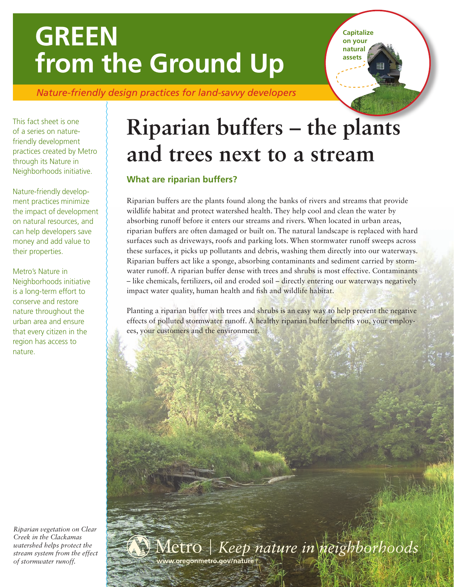# **GREEN from the Ground Up**

*Nature-friendly design practices for land-savvy developers*

This fact sheet is one of a series on naturefriendly development practices created by Metro through its Nature in Neighborhoods initiative.

Nature-friendly development practices minimize the impact of development on natural resources, and can help developers save money and add value to their properties.

Metro's Nature in Neighborhoods initiative is a long-term effort to conserve and restore nature throughout the urban area and ensure that every citizen in the region has access to nature.

*Riparian vegetation on Clear Creek in the Clackamas watershed helps protect the stream system from the effect of stormwater runoff.* **www.oregonmetro.gov/nature**

# **Riparian buffers – the plants and trees next to a stream**

**Capitalize on your natural assets**

# **What are riparian buffers?**

Riparian buffers are the plants found along the banks of rivers and streams that provide wildlife habitat and protect watershed health. They help cool and clean the water by absorbing runoff before it enters our streams and rivers. When located in urban areas, riparian buffers are often damaged or built on. The natural landscape is replaced with hard surfaces such as driveways, roofs and parking lots. When stormwater runoff sweeps across these surfaces, it picks up pollutants and debris, washing them directly into our waterways. Riparian buffers act like a sponge, absorbing contaminants and sediment carried by stormwater runoff. A riparian buffer dense with trees and shrubs is most effective. Contaminants – like chemicals, fertilizers, oil and eroded soil – directly entering our waterways negatively impact water quality, human health and fish and wildlife habitat.

Planting a riparian buffer with trees and shrubs is an easy way to help prevent the negative effects of polluted stormwater runoff. A healthy riparian buffer benefits you, your employees, your customers and the environment.

Metro | Keep nature in neighborhoods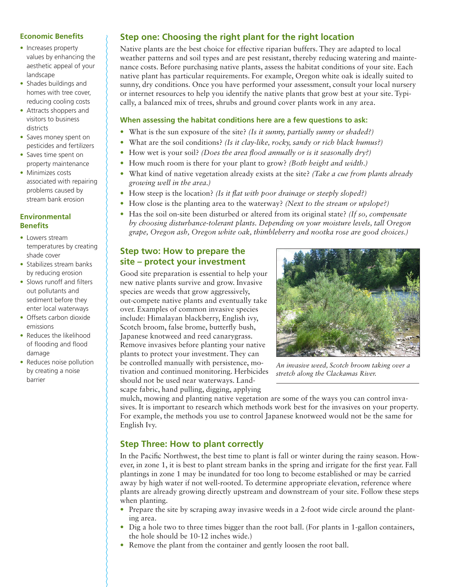### **Economic Benefits**

- Increases property values by enhancing the aesthetic appeal of your landscape
- Shades buildings and homes with tree cover, reducing cooling costs
- Attracts shoppers and visitors to business districts
- Saves money spent on pesticides and fertilizers
- Saves time spent on property maintenance
- Minimizes costs associated with repairing problems caused by stream bank erosion

#### **Environmental Benefits**

- Lowers stream temperatures by creating shade cover
- Stabilizes stream banks by reducing erosion
- Slows runoff and filters out pollutants and sediment before they enter local waterways
- Offsets carbon dioxide emissions
- Reduces the likelihood of flooding and flood damage
- Reduces noise pollution by creating a noise barrier

# **Step one: Choosing the right plant for the right location**

Native plants are the best choice for effective riparian buffers. They are adapted to local weather patterns and soil types and are pest resistant, thereby reducing watering and maintenance costs. Before purchasing native plants, assess the habitat conditions of your site. Each native plant has particular requirements. For example, Oregon white oak is ideally suited to sunny, dry conditions. Once you have performed your assessment, consult your local nursery or internet resources to help you identify the native plants that grow best at your site. Typically, a balanced mix of trees, shrubs and ground cover plants work in any area.

### **When assessing the habitat conditions here are a few questions to ask:**

- What is the sun exposure of the site? *(Is it sunny, partially sunny or shaded?)*
- What are the soil conditions? *(Is it clay-like, rocky, sandy or rich black humus?)*
- How wet is your soil? *(Does the area flood annually or is it seasonally dry?)*
- How much room is there for your plant to grow? *(Both height and width.)*
- What kind of native vegetation already exists at the site? *(Take a cue from plants already growing well in the area.)*
- How steep is the location? *(Is it flat with poor drainage or steeply sloped?)*
- How close is the planting area to the waterway? *(Next to the stream or upslope?)*
- Has the soil on-site been disturbed or altered from its original state? *(If so, compensate by choosing disturbance-tolerant plants. Depending on your moisture levels, tall Oregon grape, Oregon ash, Oregon white oak, thimbleberry and nootka rose are good choices.)*

# **Step two: How to prepare the site – protect your investment**

Good site preparation is essential to help your new native plants survive and grow. Invasive species are weeds that grow aggressively, out-compete native plants and eventually take over. Examples of common invasive species include: Himalayan blackberry, English ivy, Scotch broom, false brome, butterfly bush, Japanese knotweed and reed canarygrass. Remove invasives before planting your native plants to protect your investment. They can be controlled manually with persistence, motivation and continued monitoring. Herbicides should not be used near waterways. Landscape fabric, hand pulling, digging, applying



*An invasive weed, Scotch broom taking over a stretch along the Clackamas River.*

mulch, mowing and planting native vegetation are some of the ways you can control invasives. It is important to research which methods work best for the invasives on your property. For example, the methods you use to control Japanese knotweed would not be the same for English Ivy.

## **Step Three: How to plant correctly**

In the Pacific Northwest, the best time to plant is fall or winter during the rainy season. However, in zone 1, it is best to plant stream banks in the spring and irrigate for the first year. Fall plantings in zone 1 may be inundated for too long to become established or may be carried away by high water if not well-rooted. To determine appropriate elevation, reference where plants are already growing directly upstream and downstream of your site. Follow these steps when planting.

- Prepare the site by scraping away invasive weeds in a 2-foot wide circle around the planting area.
- Dig a hole two to three times bigger than the root ball. (For plants in 1-gallon containers, the hole should be 10-12 inches wide.)
- Remove the plant from the container and gently loosen the root ball.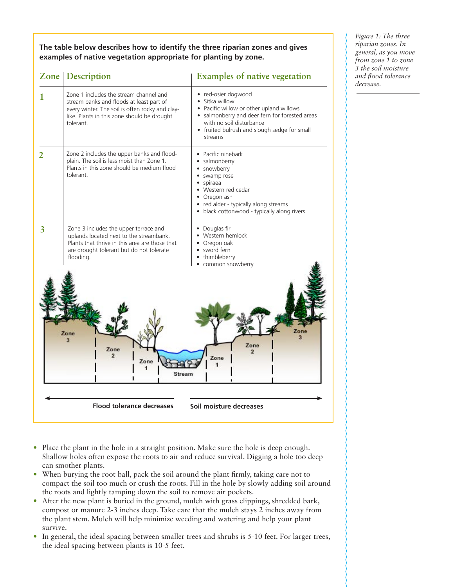**The table below describes how to identify the three riparian zones and gives examples of native vegetation appropriate for planting by zone.**

|                                                                  | <b>Zone</b> Description                                                                                                                                                                           | <b>Examples of native vegetation</b>                                                                                                                                                                                                  |
|------------------------------------------------------------------|---------------------------------------------------------------------------------------------------------------------------------------------------------------------------------------------------|---------------------------------------------------------------------------------------------------------------------------------------------------------------------------------------------------------------------------------------|
| 1                                                                | Zone 1 includes the stream channel and<br>stream banks and floods at least part of<br>every winter. The soil is often rocky and clay-<br>like. Plants in this zone should be drought<br>tolerant. | · red-osier dogwood<br>Sitka willow<br>$\bullet$<br>• Pacific willow or other upland willows<br>• salmonberry and deer fern for forested areas<br>with no soil disturbance<br>• fruited bulrush and slough sedge for small<br>streams |
|                                                                  | Zone 2 includes the upper banks and flood-<br>plain. The soil is less moist than Zone 1.<br>Plants in this zone should be medium flood<br>tolerant.                                               | • Pacific ninebark<br>• salmonberry<br>· snowberry<br>swamp rose<br>spiraea<br>$\bullet$<br>• Western red cedar<br>• Oregon ash<br>• red alder - typically along streams<br>• black cottonwood - typically along rivers               |
| 3                                                                | Zone 3 includes the upper terrace and<br>uplands located next to the streambank.<br>Plants that thrive in this area are those that<br>are drought tolerant but do not tolerate<br>flooding.       | • Douglas fir<br>• Western hemlock<br>• Oregon oak<br>• sword fern<br>• thimbleberry<br>common snowberry                                                                                                                              |
| Zone<br>Zone<br>Zone<br>$\overline{2}$<br>Zone<br>Zone<br>Stream |                                                                                                                                                                                                   |                                                                                                                                                                                                                                       |
| <b>Flood tolerance decreases</b><br>Soil moisture decreases      |                                                                                                                                                                                                   |                                                                                                                                                                                                                                       |

*Figure 1: The three riparian zones. In general, as you move from zone 1 to zone 3 the soil moisture and flood tolerance decrease.*

- Place the plant in the hole in a straight position. Make sure the hole is deep enough. Shallow holes often expose the roots to air and reduce survival. Digging a hole too deep can smother plants.
- When burying the root ball, pack the soil around the plant firmly, taking care not to compact the soil too much or crush the roots. Fill in the hole by slowly adding soil around the roots and lightly tamping down the soil to remove air pockets.
- After the new plant is buried in the ground, mulch with grass clippings, shredded bark, compost or manure 2-3 inches deep. Take care that the mulch stays 2 inches away from the plant stem. Mulch will help minimize weeding and watering and help your plant survive.
- In general, the ideal spacing between smaller trees and shrubs is 5-10 feet. For larger trees, the ideal spacing between plants is 10-5 feet.